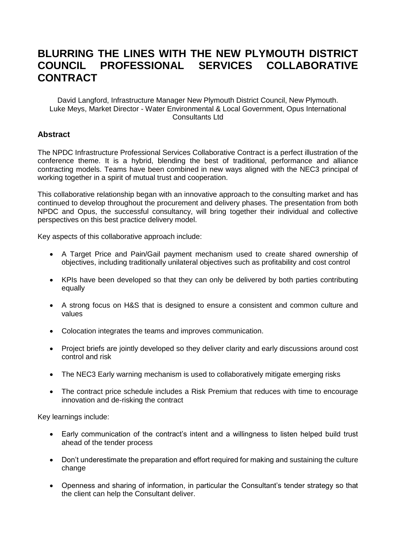# **BLURRING THE LINES WITH THE NEW PLYMOUTH DISTRICT COUNCIL PROFESSIONAL SERVICES COLLABORATIVE CONTRACT**

David Langford, Infrastructure Manager New Plymouth District Council, New Plymouth. Luke Meys, Market Director - Water Environmental & Local Government, Opus International Consultants Ltd

## **Abstract**

The NPDC Infrastructure Professional Services Collaborative Contract is a perfect illustration of the conference theme. It is a hybrid, blending the best of traditional, performance and alliance contracting models. Teams have been combined in new ways aligned with the NEC3 principal of working together in a spirit of mutual trust and cooperation.

This collaborative relationship began with an innovative approach to the consulting market and has continued to develop throughout the procurement and delivery phases. The presentation from both NPDC and Opus, the successful consultancy, will bring together their individual and collective perspectives on this best practice delivery model.

Key aspects of this collaborative approach include:

- A Target Price and Pain/Gail payment mechanism used to create shared ownership of objectives, including traditionally unilateral objectives such as profitability and cost control
- KPIs have been developed so that they can only be delivered by both parties contributing equally
- A strong focus on H&S that is designed to ensure a consistent and common culture and values
- Colocation integrates the teams and improves communication.
- Project briefs are jointly developed so they deliver clarity and early discussions around cost control and risk
- The NEC3 Early warning mechanism is used to collaboratively mitigate emerging risks
- The contract price schedule includes a Risk Premium that reduces with time to encourage innovation and de-risking the contract

Key learnings include:

- Early communication of the contract's intent and a willingness to listen helped build trust ahead of the tender process
- Don't underestimate the preparation and effort required for making and sustaining the culture change
- Openness and sharing of information, in particular the Consultant's tender strategy so that the client can help the Consultant deliver.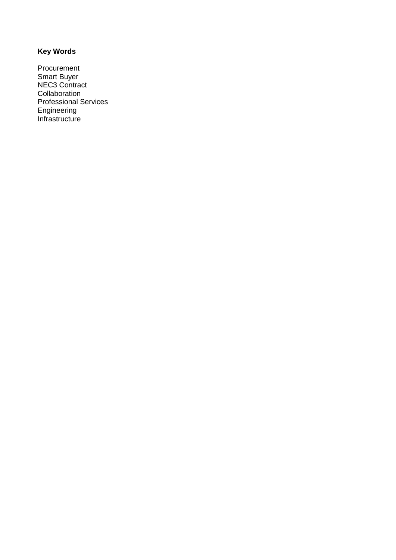## **Key Words**

Procurement Smart Buyer NEC3 Contract Collaboration Professional Services Engineering Infrastructure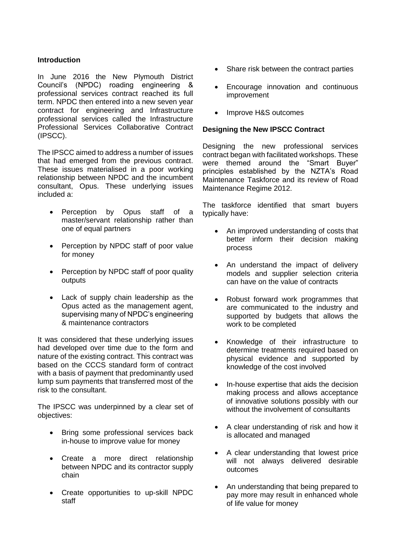## **Introduction**

In June 2016 the New Plymouth District Council's (NPDC) roading engineering & professional services contract reached its full term. NPDC then entered into a new seven year contract for engineering and Infrastructure professional services called the Infrastructure Professional Services Collaborative Contract (IPSCC).

The IPSCC aimed to address a number of issues that had emerged from the previous contract. These issues materialised in a poor working relationship between NPDC and the incumbent consultant, Opus. These underlying issues included a:

- Perception by Opus staff of a master/servant relationship rather than one of equal partners
- Perception by NPDC staff of poor value for money
- Perception by NPDC staff of poor quality outputs
- Lack of supply chain leadership as the Opus acted as the management agent, supervising many of NPDC's engineering & maintenance contractors

It was considered that these underlying issues had developed over time due to the form and nature of the existing contract. This contract was based on the CCCS standard form of contract with a basis of payment that predominantly used lump sum payments that transferred most of the risk to the consultant.

The IPSCC was underpinned by a clear set of objectives:

- Bring some professional services back in-house to improve value for money
- Create a more direct relationship between NPDC and its contractor supply chain
- Create opportunities to up-skill NPDC staff
- Share risk between the contract parties
- Encourage innovation and continuous improvement
- Improve H&S outcomes

### **Designing the New IPSCC Contract**

Designing the new professional services contract began with facilitated workshops. These were themed around the "Smart Buyer" principles established by the NZTA's Road Maintenance Taskforce and its review of Road Maintenance Regime 2012.

The taskforce identified that smart buyers typically have:

- An improved understanding of costs that better inform their decision making process
- An understand the impact of delivery models and supplier selection criteria can have on the value of contracts
- Robust forward work programmes that are communicated to the industry and supported by budgets that allows the work to be completed
- Knowledge of their infrastructure to determine treatments required based on physical evidence and supported by knowledge of the cost involved
- In-house expertise that aids the decision making process and allows acceptance of innovative solutions possibly with our without the involvement of consultants
- A clear understanding of risk and how it is allocated and managed
- A clear understanding that lowest price will not always delivered desirable outcomes
- An understanding that being prepared to pay more may result in enhanced whole of life value for money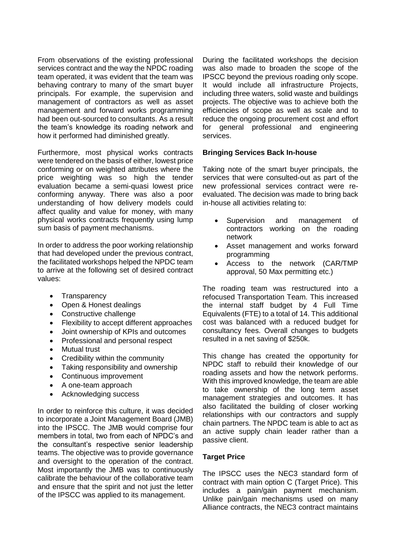From observations of the existing professional services contract and the way the NPDC roading team operated, it was evident that the team was behaving contrary to many of the smart buyer principals. For example, the supervision and management of contractors as well as asset management and forward works programming had been out-sourced to consultants. As a result the team's knowledge its roading network and how it performed had diminished greatly.

Furthermore, most physical works contracts were tendered on the basis of either, lowest price conforming or on weighted attributes where the price weighting was so high the tender evaluation became a semi-quasi lowest price conforming anyway. There was also a poor understanding of how delivery models could affect quality and value for money, with many physical works contracts frequently using lump sum basis of payment mechanisms.

In order to address the poor working relationship that had developed under the previous contract, the facilitated workshops helped the NPDC team to arrive at the following set of desired contract values:

- Transparency
- Open & Honest dealings
- Constructive challenge
- Flexibility to accept different approaches
- Joint ownership of KPIs and outcomes
- Professional and personal respect
- Mutual trust
- Credibility within the community
- Taking responsibility and ownership
- Continuous improvement
- A one-team approach
- Acknowledging success

In order to reinforce this culture, it was decided to incorporate a Joint Management Board (JMB) into the IPSCC. The JMB would comprise four members in total, two from each of NPDC's and the consultant's respective senior leadership teams. The objective was to provide governance and oversight to the operation of the contract. Most importantly the JMB was to continuously calibrate the behaviour of the collaborative team and ensure that the spirit and not just the letter of the IPSCC was applied to its management.

During the facilitated workshops the decision was also made to broaden the scope of the IPSCC beyond the previous roading only scope. It would include all infrastructure Projects, including three waters, solid waste and buildings projects. The objective was to achieve both the efficiencies of scope as well as scale and to reduce the ongoing procurement cost and effort for general professional and engineering services.

#### **Bringing Services Back In-house**

Taking note of the smart buyer principals, the services that were consulted-out as part of the new professional services contract were reevaluated. The decision was made to bring back in-house all activities relating to:

- Supervision and management of contractors working on the roading network
- Asset management and works forward programming
- Access to the network (CAR/TMP approval, 50 Max permitting etc.)

The roading team was restructured into a refocused Transportation Team. This increased the internal staff budget by 4 Full Time Equivalents (FTE) to a total of 14. This additional cost was balanced with a reduced budget for consultancy fees. Overall changes to budgets resulted in a net saving of \$250k.

This change has created the opportunity for NPDC staff to rebuild their knowledge of our roading assets and how the network performs. With this improved knowledge, the team are able to take ownership of the long term asset management strategies and outcomes. It has also facilitated the building of closer working relationships with our contractors and supply chain partners. The NPDC team is able to act as an active supply chain leader rather than a passive client.

### **Target Price**

The IPSCC uses the NEC3 standard form of contract with main option C (Target Price). This includes a pain/gain payment mechanism. Unlike pain/gain mechanisms used on many Alliance contracts, the NEC3 contract maintains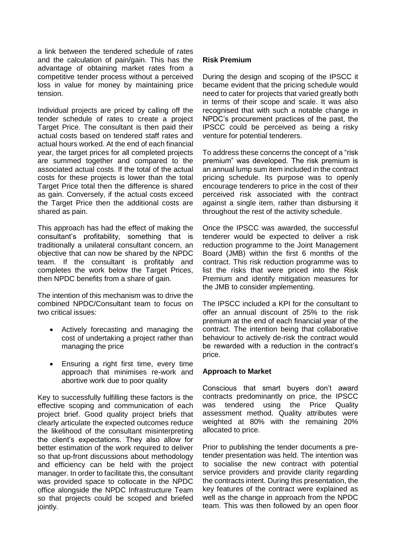a link between the tendered schedule of rates and the calculation of pain/gain. This has the advantage of obtaining market rates from a competitive tender process without a perceived loss in value for money by maintaining price tension.

Individual projects are priced by calling off the tender schedule of rates to create a project Target Price. The consultant is then paid their actual costs based on tendered staff rates and actual hours worked. At the end of each financial year, the target prices for all completed projects are summed together and compared to the associated actual costs. If the total of the actual costs for these projects is lower than the total Target Price total then the difference is shared as gain. Conversely, if the actual costs exceed the Target Price then the additional costs are shared as pain.

This approach has had the effect of making the consultant's profitability, something that is traditionally a unilateral consultant concern, an objective that can now be shared by the NPDC team. If the consultant is profitably and completes the work below the Target Prices, then NPDC benefits from a share of gain.

The intention of this mechanism was to drive the combined NPDC/Consultant team to focus on two critical issues:

- Actively forecasting and managing the cost of undertaking a project rather than managing the price
- Ensuring a right first time, every time approach that minimises re-work and abortive work due to poor quality

Key to successfully fulfilling these factors is the effective scoping and communication of each project brief. Good quality project briefs that clearly articulate the expected outcomes reduce the likelihood of the consultant misinterpreting the client's expectations. They also allow for better estimation of the work required to deliver so that up-front discussions about methodology and efficiency can be held with the project manager. In order to facilitate this, the consultant was provided space to collocate in the NPDC office alongside the NPDC Infrastructure Team so that projects could be scoped and briefed jointly.

## **Risk Premium**

During the design and scoping of the IPSCC it became evident that the pricing schedule would need to cater for projects that varied greatly both in terms of their scope and scale. It was also recognised that with such a notable change in NPDC's procurement practices of the past, the IPSCC could be perceived as being a risky venture for potential tenderers.

To address these concerns the concept of a "risk premium" was developed. The risk premium is an annual lump sum item included in the contract pricing schedule. Its purpose was to openly encourage tenderers to price in the cost of their perceived risk associated with the contract against a single item, rather than disbursing it throughout the rest of the activity schedule.

Once the IPSCC was awarded, the successful tenderer would be expected to deliver a risk reduction programme to the Joint Management Board (JMB) within the first 6 months of the contract. This risk reduction programme was to list the risks that were priced into the Risk Premium and identify mitigation measures for the JMB to consider implementing.

The IPSCC included a KPI for the consultant to offer an annual discount of 25% to the risk premium at the end of each financial year of the contract. The intention being that collaborative behaviour to actively de-risk the contract would be rewarded with a reduction in the contract's price.

#### **Approach to Market**

Conscious that smart buyers don't award contracts predominantly on price, the IPSCC was tendered using the Price Quality assessment method. Quality attributes were weighted at 80% with the remaining 20% allocated to price.

Prior to publishing the tender documents a pretender presentation was held. The intention was to socialise the new contract with potential service providers and provide clarity regarding the contracts intent. During this presentation, the key features of the contract were explained as well as the change in approach from the NPDC team. This was then followed by an open floor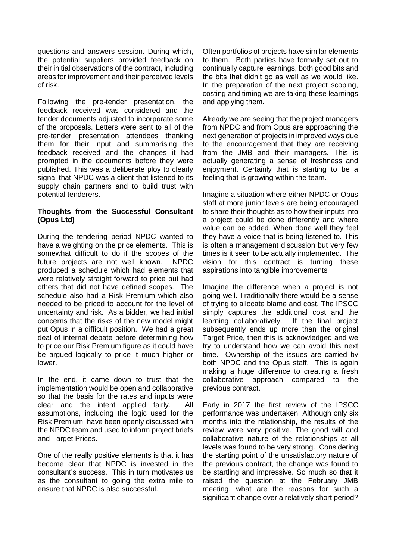questions and answers session. During which, the potential suppliers provided feedback on their initial observations of the contract, including areas for improvement and their perceived levels of risk.

Following the pre-tender presentation, the feedback received was considered and the tender documents adjusted to incorporate some of the proposals. Letters were sent to all of the pre-tender presentation attendees thanking them for their input and summarising the feedback received and the changes it had prompted in the documents before they were published. This was a deliberate ploy to clearly signal that NPDC was a client that listened to its supply chain partners and to build trust with potential tenderers.

### **Thoughts from the Successful Consultant (Opus Ltd)**

During the tendering period NPDC wanted to have a weighting on the price elements. This is somewhat difficult to do if the scopes of the future projects are not well known. NPDC produced a schedule which had elements that were relatively straight forward to price but had others that did not have defined scopes. The schedule also had a Risk Premium which also needed to be priced to account for the level of uncertainty and risk. As a bidder, we had initial concerns that the risks of the new model might put Opus in a difficult position. We had a great deal of internal debate before determining how to price our Risk Premium figure as it could have be argued logically to price it much higher or lower.

In the end, it came down to trust that the implementation would be open and collaborative so that the basis for the rates and inputs were clear and the intent applied fairly. All assumptions, including the logic used for the Risk Premium, have been openly discussed with the NPDC team and used to inform project briefs and Target Prices.

One of the really positive elements is that it has become clear that NPDC is invested in the consultant's success. This in turn motivates us as the consultant to going the extra mile to ensure that NPDC is also successful.

Often portfolios of projects have similar elements to them. Both parties have formally set out to continually capture learnings, both good bits and the bits that didn't go as well as we would like. In the preparation of the next project scoping, costing and timing we are taking these learnings and applying them.

Already we are seeing that the project managers from NPDC and from Opus are approaching the next generation of projects in improved ways due to the encouragement that they are receiving from the JMB and their managers. This is actually generating a sense of freshness and enjoyment. Certainly that is starting to be a feeling that is growing within the team.

Imagine a situation where either NPDC or Opus staff at more junior levels are being encouraged to share their thoughts as to how their inputs into a project could be done differently and where value can be added. When done well they feel they have a voice that is being listened to. This is often a management discussion but very few times is it seen to be actually implemented. The vision for this contract is turning these aspirations into tangible improvements

Imagine the difference when a project is not going well. Traditionally there would be a sense of trying to allocate blame and cost. The IPSCC simply captures the additional cost and the learning collaboratively. If the final project subsequently ends up more than the original Target Price, then this is acknowledged and we try to understand how we can avoid this next time. Ownership of the issues are carried by both NPDC and the Opus staff. This is again making a huge difference to creating a fresh collaborative approach compared to the previous contract.

Early in 2017 the first review of the IPSCC performance was undertaken. Although only six months into the relationship, the results of the review were very positive. The good will and collaborative nature of the relationships at all levels was found to be very strong. Considering the starting point of the unsatisfactory nature of the previous contract, the change was found to be startling and impressive. So much so that it raised the question at the February JMB meeting, what are the reasons for such a significant change over a relatively short period?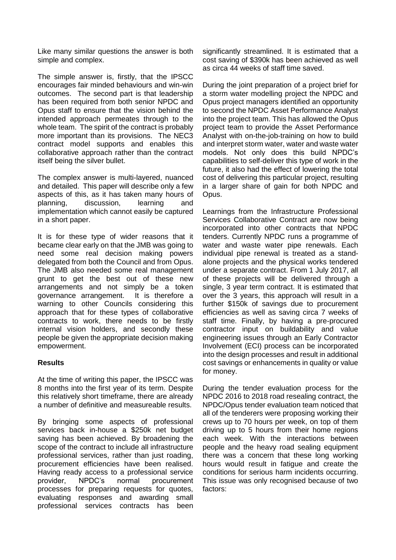Like many similar questions the answer is both simple and complex.

The simple answer is, firstly, that the IPSCC encourages fair minded behaviours and win-win outcomes. The second part is that leadership has been required from both senior NPDC and Opus staff to ensure that the vision behind the intended approach permeates through to the whole team. The spirit of the contract is probably more important than its provisions. The NEC3 contract model supports and enables this collaborative approach rather than the contract itself being the silver bullet.

The complex answer is multi-layered, nuanced and detailed. This paper will describe only a few aspects of this, as it has taken many hours of planning, discussion, learning and implementation which cannot easily be captured in a short paper.

It is for these type of wider reasons that it became clear early on that the JMB was going to need some real decision making powers delegated from both the Council and from Opus. The JMB also needed some real management grunt to get the best out of these new arrangements and not simply be a token governance arrangement. It is therefore a warning to other Councils considering this approach that for these types of collaborative contracts to work, there needs to be firstly internal vision holders, and secondly these people be given the appropriate decision making empowerment.

### **Results**

At the time of writing this paper, the IPSCC was 8 months into the first year of its term. Despite this relatively short timeframe, there are already a number of definitive and measureable results.

By bringing some aspects of professional services back in-house a \$250k net budget saving has been achieved. By broadening the scope of the contract to include all infrastructure professional services, rather than just roading, procurement efficiencies have been realised. Having ready access to a professional service provider, NPDC's normal procurement processes for preparing requests for quotes, evaluating responses and awarding small professional services contracts has been significantly streamlined. It is estimated that a cost saving of \$390k has been achieved as well as circa 44 weeks of staff time saved.

During the joint preparation of a project brief for a storm water modelling project the NPDC and Opus project managers identified an opportunity to second the NPDC Asset Performance Analyst into the project team. This has allowed the Opus project team to provide the Asset Performance Analyst with on-the-job-training on how to build and interpret storm water, water and waste water models. Not only does this build NPDC's capabilities to self-deliver this type of work in the future, it also had the effect of lowering the total cost of delivering this particular project, resulting in a larger share of gain for both NPDC and Opus.

Learnings from the Infrastructure Professional Services Collaborative Contract are now being incorporated into other contracts that NPDC tenders. Currently NPDC runs a programme of water and waste water pipe renewals. Each individual pipe renewal is treated as a standalone projects and the physical works tendered under a separate contract. From 1 July 2017, all of these projects will be delivered through a single, 3 year term contract. It is estimated that over the 3 years, this approach will result in a further \$150k of savings due to procurement efficiencies as well as saving circa 7 weeks of staff time. Finally, by having a pre-procured contractor input on buildability and value engineering issues through an Early Contractor Involvement (ECI) process can be incorporated into the design processes and result in additional cost savings or enhancements in quality or value for money.

During the tender evaluation process for the NPDC 2016 to 2018 road resealing contract, the NPDC/Opus tender evaluation team noticed that all of the tenderers were proposing working their crews up to 70 hours per week, on top of them driving up to 5 hours from their home regions each week. With the interactions between people and the heavy road sealing equipment there was a concern that these long working hours would result in fatigue and create the conditions for serious harm incidents occurring. This issue was only recognised because of two factors: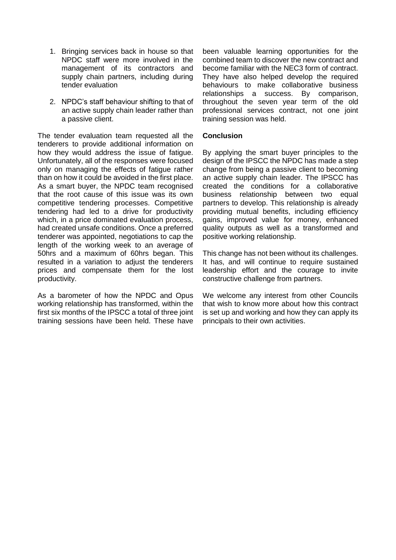- 1. Bringing services back in house so that NPDC staff were more involved in the management of its contractors and supply chain partners, including during tender evaluation
- 2. NPDC's staff behaviour shifting to that of an active supply chain leader rather than a passive client.

The tender evaluation team requested all the tenderers to provide additional information on how they would address the issue of fatigue. Unfortunately, all of the responses were focused only on managing the effects of fatigue rather than on how it could be avoided in the first place. As a smart buver, the NPDC team recognised that the root cause of this issue was its own competitive tendering processes. Competitive tendering had led to a drive for productivity which, in a price dominated evaluation process, had created unsafe conditions. Once a preferred tenderer was appointed, negotiations to cap the length of the working week to an average of 50hrs and a maximum of 60hrs began. This resulted in a variation to adjust the tenderers prices and compensate them for the lost productivity.

As a barometer of how the NPDC and Opus working relationship has transformed, within the first six months of the IPSCC a total of three joint training sessions have been held. These have

been valuable learning opportunities for the combined team to discover the new contract and become familiar with the NEC3 form of contract. They have also helped develop the required behaviours to make collaborative business relationships a success. By comparison, throughout the seven year term of the old professional services contract, not one joint training session was held.

#### **Conclusion**

By applying the smart buyer principles to the design of the IPSCC the NPDC has made a step change from being a passive client to becoming an active supply chain leader. The IPSCC has created the conditions for a collaborative business relationship between two equal partners to develop. This relationship is already providing mutual benefits, including efficiency gains, improved value for money, enhanced quality outputs as well as a transformed and positive working relationship.

This change has not been without its challenges. It has, and will continue to require sustained leadership effort and the courage to invite constructive challenge from partners.

We welcome any interest from other Councils that wish to know more about how this contract is set up and working and how they can apply its principals to their own activities.